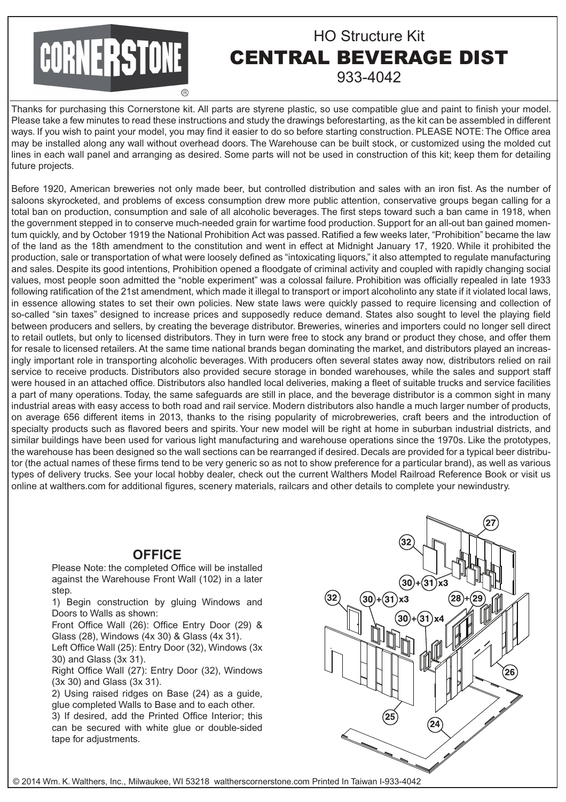# CORNERSTONE

**R** 

# HO Structure Kit CENTRAL BEVERAGE DIST 933-4042

Thanks for purchasing this Cornerstone kit. All parts are styrene plastic, so use compatible glue and paint to finish your model. Please take a few minutes to read these instructions and study the drawings beforestarting, as the kit can be assembled in different ways. If you wish to paint your model, you may find it easier to do so before starting construction. PLEASE NOTE: The Office area may be installed along any wall without overhead doors. The Warehouse can be built stock, or customized using the molded cut lines in each wall panel and arranging as desired. Some parts will not be used in construction of this kit; keep them for detailing future projects.

Before 1920, American breweries not only made beer, but controlled distribution and sales with an iron fist. As the number of saloons skyrocketed, and problems of excess consumption drew more public attention, conservative groups began calling for a total ban on production, consumption and sale of all alcoholic beverages. The first steps toward such a ban came in 1918, when the government stepped in to conserve much-needed grain for wartime food production. Support for an all-out ban gained momentum quickly, and by October 1919 the National Prohibition Act was passed. Ratified a few weeks later, "Prohibition" became the law of the land as the 18th amendment to the constitution and went in effect at Midnight January 17, 1920. While it prohibited the production, sale or transportation of what were loosely defined as "intoxicating liquors," it also attempted to regulate manufacturing and sales. Despite its good intentions, Prohibition opened a floodgate of criminal activity and coupled with rapidly changing social values, most people soon admitted the "noble experiment" was a colossal failure. Prohibition was officially repealed in late 1933 following ratification of the 21st amendment, which made it illegal to transport or import alcoholinto any state if it violated local laws, in essence allowing states to set their own policies. New state laws were quickly passed to require licensing and collection of so-called "sin taxes" designed to increase prices and supposedly reduce demand. States also sought to level the playing field between producers and sellers, by creating the beverage distributor. Breweries, wineries and importers could no longer sell direct to retail outlets, but only to licensed distributors. They in turn were free to stock any brand or product they chose, and offer them for resale to licensed retailers. At the same time national brands began dominating the market, and distributors played an increasingly important role in transporting alcoholic beverages. With producers often several states away now, distributors relied on rail service to receive products. Distributors also provided secure storage in bonded warehouses, while the sales and support staff were housed in an attached office. Distributors also handled local deliveries, making a fleet of suitable trucks and service facilities a part of many operations. Today, the same safeguards are still in place, and the beverage distributor is a common sight in many industrial areas with easy access to both road and rail service. Modern distributors also handle a much larger number of products, on average 656 different items in 2013, thanks to the rising popularity of microbreweries, craft beers and the introduction of specialty products such as flavored beers and spirits. Your new model will be right at home in suburban industrial districts, and similar buildings have been used for various light manufacturing and warehouse operations since the 1970s. Like the prototypes, the warehouse has been designed so the wall sections can be rearranged if desired. Decals are provided for a typical beer distributor (the actual names of these firms tend to be very generic so as not to show preference for a particular brand), as well as various types of delivery trucks. See your local hobby dealer, check out the current Walthers Model Railroad Reference Book or visit us online at walthers.com for additional figures, scenery materials, railcars and other details to complete your newindustry.

## **OFFICE**

Please Note: the completed Office will be installed against the Warehouse Front Wall (102) in a later step.

1) Begin construction by gluing Windows and Doors to Walls as shown:

Front Office Wall (26): Office Entry Door (29) & Glass (28), Windows (4x 30) & Glass (4x 31).

Left Office Wall (25): Entry Door (32), Windows (3x 30) and Glass (3x 31).

Right Office Wall (27): Entry Door (32), Windows (3x 30) and Glass (3x 31).

2) Using raised ridges on Base (24) as a guide, glue completed Walls to Base and to each other.

3) If desired, add the Printed Office Interior; this can be secured with white glue or double-sided tape for adjustments.



© 2014 Wm. K. Walthers, Inc., Milwaukee, WI 53218 waltherscornerstone.com Printed In Taiwan I-933-4042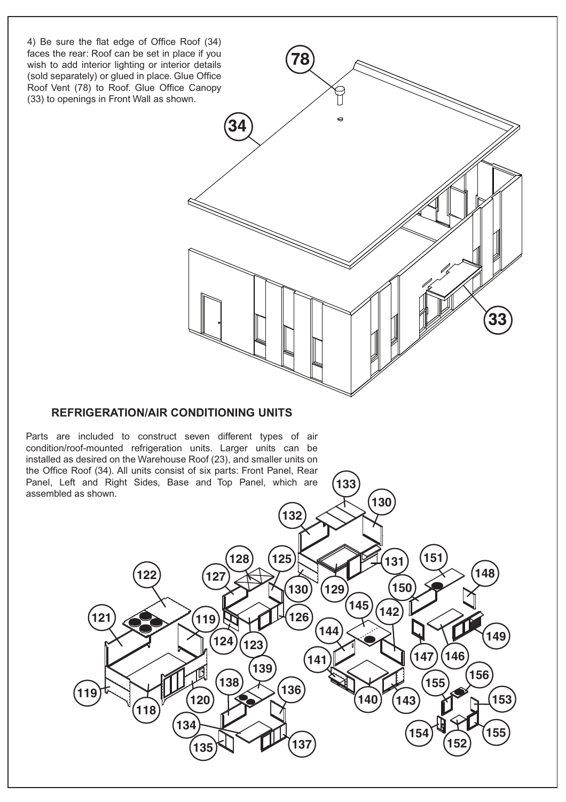

### **REFRIGERATION/AIR CONDITIONING UNITS**

Parts are included to construct seven different types of air condition/roof-mounted refrigeration units. Larger units can be installed as desired on the Warehouse Roof (23), and smaller units on the Office Roof (34). All units consist of six parts: Front Panel, Rear Panel, Left and Right Sides, Base and Top Panel, which are assembled as shown.

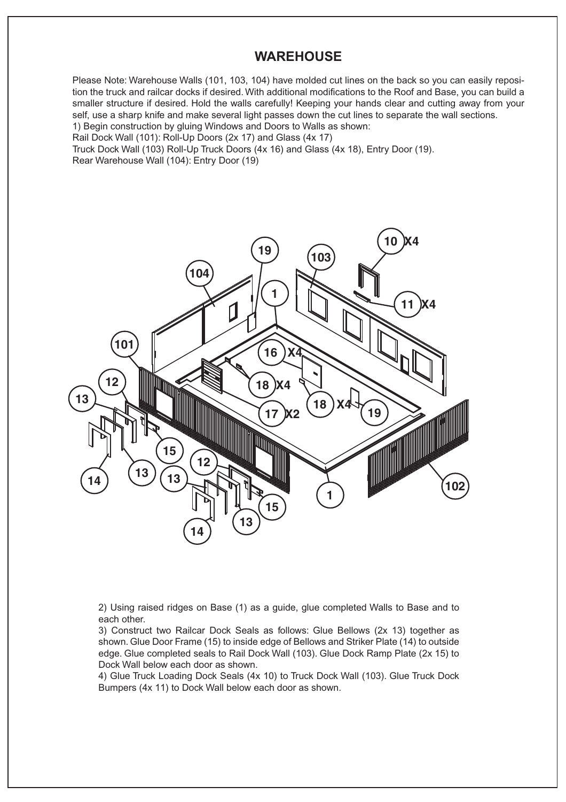#### **WAREHOUSE**

Please Note: Warehouse Walls (101, 103, 104) have molded cut lines on the back so you can easily reposition the truck and railcar docks if desired. With additional modifications to the Roof and Base, you can build a smaller structure if desired. Hold the walls carefully! Keeping your hands clear and cutting away from your self, use a sharp knife and make several light passes down the cut lines to separate the wall sections. 1) Begin construction by gluing Windows and Doors to Walls as shown:

Rail Dock Wall (101): Roll-Up Doors (2x 17) and Glass (4x 17)

Truck Dock Wall (103) Roll-Up Truck Doors (4x 16) and Glass (4x 18), Entry Door (19).

Rear Warehouse Wall (104): Entry Door (19)



2) Using raised ridges on Base (1) as a guide, glue completed Walls to Base and to each other.

3) Construct two Railcar Dock Seals as follows: Glue Bellows (2x 13) together as shown. Glue Door Frame (15) to inside edge of Bellows and Striker Plate (14) to outside edge. Glue completed seals to Rail Dock Wall (103). Glue Dock Ramp Plate (2x 15) to Dock Wall below each door as shown.

4) Glue Truck Loading Dock Seals (4x 10) to Truck Dock Wall (103). Glue Truck Dock Bumpers (4x 11) to Dock Wall below each door as shown.